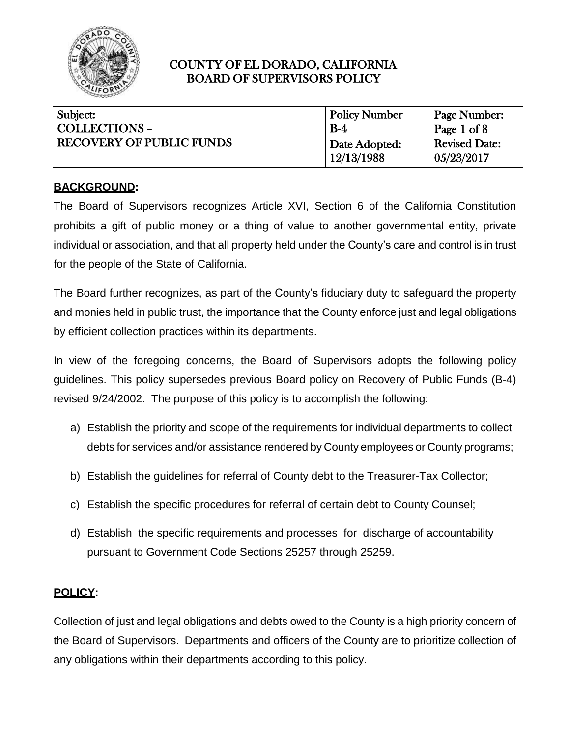

| Subject:                        | <b>Policy Number</b>        | Page Number:                       |
|---------------------------------|-----------------------------|------------------------------------|
| <b>COLLECTIONS -</b>            | $B-4$                       | Page 1 of $8$                      |
| <b>RECOVERY OF PUBLIC FUNDS</b> | Date Adopted:<br>12/13/1988 | <b>Revised Date:</b><br>05/23/2017 |

### **BACKGROUND:**

The Board of Supervisors recognizes Article XVI, Section 6 of the California Constitution prohibits a gift of public money or a thing of value to another governmental entity, private individual or association, and that all property held under the County's care and control is in trust for the people of the State of California.

The Board further recognizes, as part of the County's fiduciary duty to safeguard the property and monies held in public trust, the importance that the County enforce just and legal obligations by efficient collection practices within its departments.

In view of the foregoing concerns, the Board of Supervisors adopts the following policy guidelines. This policy supersedes previous Board policy on Recovery of Public Funds (B-4) revised 9/24/2002. The purpose of this policy is to accomplish the following:

- a) Establish the priority and scope of the requirements for individual departments to collect debts for services and/or assistance rendered by County employees or County programs;
- b) Establish the guidelines for referral of County debt to the Treasurer-Tax Collector;
- c) Establish the specific procedures for referral of certain debt to County Counsel;
- d) Establish the specific requirements and processes for discharge of accountability pursuant to Government Code Sections 25257 through 25259.

### **POLICY:**

Collection of just and legal obligations and debts owed to the County is a high priority concern of the Board of Supervisors. Departments and officers of the County are to prioritize collection of any obligations within their departments according to this policy.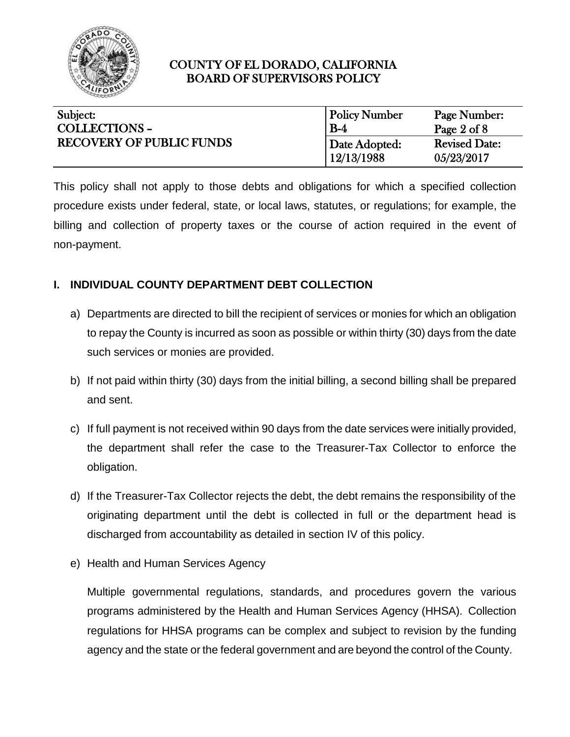

| Subject:                        | <b>Policy Number</b> | Page Number:           |
|---------------------------------|----------------------|------------------------|
| <b>COLLECTIONS -</b>            | $B-4$                | Page $2 \text{ of } 8$ |
| <b>RECOVERY OF PUBLIC FUNDS</b> | Date Adopted:        | <b>Revised Date:</b>   |
|                                 | 12/13/1988           | 05/23/2017             |

This policy shall not apply to those debts and obligations for which a specified collection procedure exists under federal, state, or local laws, statutes, or regulations; for example, the billing and collection of property taxes or the course of action required in the event of non-payment.

### **I. INDIVIDUAL COUNTY DEPARTMENT DEBT COLLECTION**

- a) Departments are directed to bill the recipient of services or monies for which an obligation to repay the County is incurred as soon as possible or within thirty (30) days from the date such services or monies are provided.
- b) If not paid within thirty (30) days from the initial billing, a second billing shall be prepared and sent.
- c) If full payment is not received within 90 days from the date services were initially provided, the department shall refer the case to the Treasurer-Tax Collector to enforce the obligation.
- d) If the Treasurer-Tax Collector rejects the debt, the debt remains the responsibility of the originating department until the debt is collected in full or the department head is discharged from accountability as detailed in section IV of this policy.
- e) Health and Human Services Agency

Multiple governmental regulations, standards, and procedures govern the various programs administered by the Health and Human Services Agency (HHSA). Collection regulations for HHSA programs can be complex and subject to revision by the funding agency and the state or the federal government and are beyond the control of the County.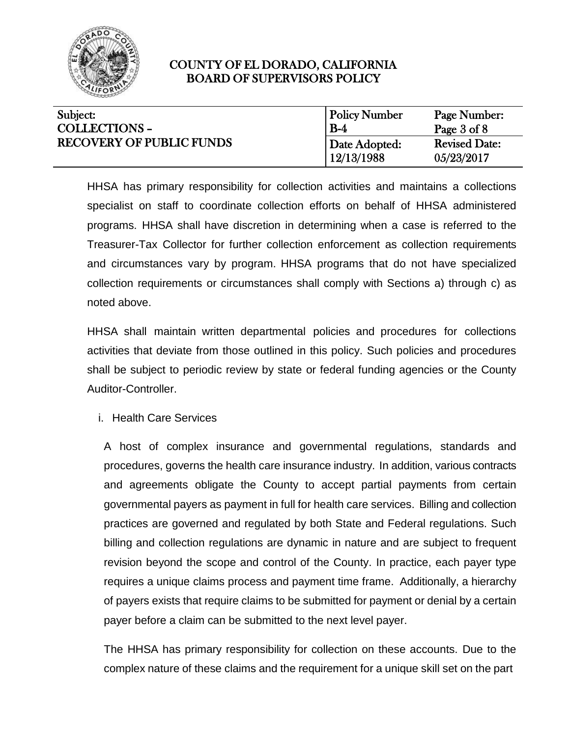

| Subject:                        | <b>Policy Number</b> | Page Number:         |
|---------------------------------|----------------------|----------------------|
| <b>COLLECTIONS -</b>            | $B-4$                | Page 3 of 8          |
| <b>RECOVERY OF PUBLIC FUNDS</b> | Date Adopted:        | <b>Revised Date:</b> |
|                                 | 12/13/1988           | 05/23/2017           |

HHSA has primary responsibility for collection activities and maintains a collections specialist on staff to coordinate collection efforts on behalf of HHSA administered programs. HHSA shall have discretion in determining when a case is referred to the Treasurer-Tax Collector for further collection enforcement as collection requirements and circumstances vary by program. HHSA programs that do not have specialized collection requirements or circumstances shall comply with Sections a) through c) as noted above.

HHSA shall maintain written departmental policies and procedures for collections activities that deviate from those outlined in this policy. Such policies and procedures shall be subject to periodic review by state or federal funding agencies or the County Auditor-Controller.

i. Health Care Services

A host of complex insurance and governmental regulations, standards and procedures, governs the health care insurance industry. In addition, various contracts and agreements obligate the County to accept partial payments from certain governmental payers as payment in full for health care services. Billing and collection practices are governed and regulated by both State and Federal regulations. Such billing and collection regulations are dynamic in nature and are subject to frequent revision beyond the scope and control of the County. In practice, each payer type requires a unique claims process and payment time frame. Additionally, a hierarchy of payers exists that require claims to be submitted for payment or denial by a certain payer before a claim can be submitted to the next level payer.

The HHSA has primary responsibility for collection on these accounts. Due to the complex nature of these claims and the requirement for a unique skill set on the part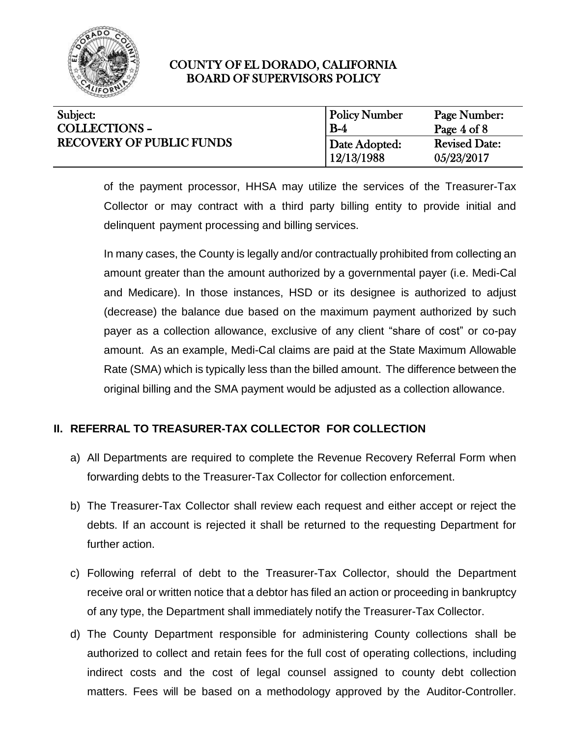

| Subject:                        | <b>Policy Number</b> | Page Number:         |
|---------------------------------|----------------------|----------------------|
| <b>COLLECTIONS -</b>            | $B-4$                | Page 4 of 8          |
| <b>RECOVERY OF PUBLIC FUNDS</b> | Date Adopted:        | <b>Revised Date:</b> |
|                                 | 12/13/1988           | 05/23/2017           |

of the payment processor, HHSA may utilize the services of the Treasurer-Tax Collector or may contract with a third party billing entity to provide initial and delinquent payment processing and billing services.

In many cases, the County is legally and/or contractually prohibited from collecting an amount greater than the amount authorized by a governmental payer (i.e. Medi-Cal and Medicare). In those instances, HSD or its designee is authorized to adjust (decrease) the balance due based on the maximum payment authorized by such payer as a collection allowance, exclusive of any client "share of cost" or co-pay amount. As an example, Medi-Cal claims are paid at the State Maximum Allowable Rate (SMA) which is typically less than the billed amount. The difference between the original billing and the SMA payment would be adjusted as a collection allowance.

# **II. REFERRAL TO TREASURER-TAX COLLECTOR FOR COLLECTION**

- a) All Departments are required to complete the Revenue Recovery Referral Form when forwarding debts to the Treasurer-Tax Collector for collection enforcement.
- b) The Treasurer-Tax Collector shall review each request and either accept or reject the debts. If an account is rejected it shall be returned to the requesting Department for further action.
- c) Following referral of debt to the Treasurer-Tax Collector, should the Department receive oral or written notice that a debtor has filed an action or proceeding in bankruptcy of any type, the Department shall immediately notify the Treasurer-Tax Collector.
- d) The County Department responsible for administering County collections shall be authorized to collect and retain fees for the full cost of operating collections, including indirect costs and the cost of legal counsel assigned to county debt collection matters. Fees will be based on a methodology approved by the Auditor-Controller.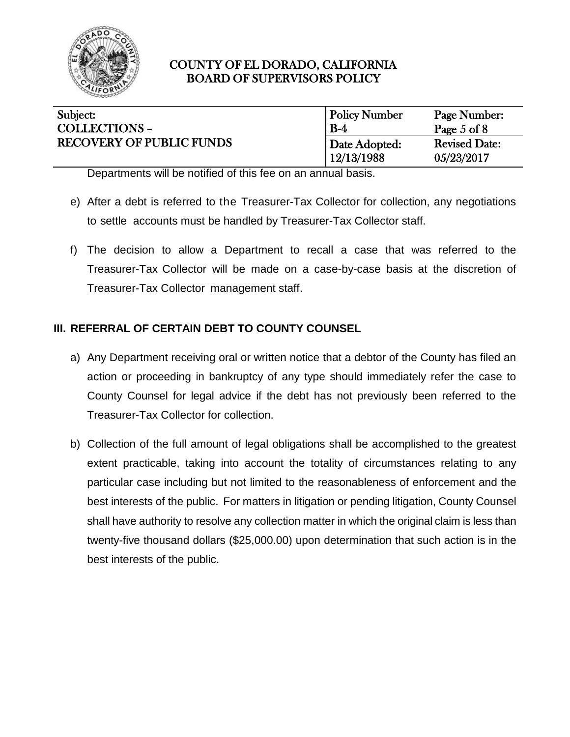

| Subject:                        | <b>Policy Number</b> | Page Number:         |
|---------------------------------|----------------------|----------------------|
| <b>COLLECTIONS -</b>            | $B-4$                | Page 5 of 8          |
| <b>RECOVERY OF PUBLIC FUNDS</b> | Date Adopted:        | <b>Revised Date:</b> |
|                                 |                      |                      |

Departments will be notified of this fee on an annual basis.

- e) After a debt is referred to the Treasurer-Tax Collector for collection, any negotiations to settle accounts must be handled by Treasurer-Tax Collector staff.
- f) The decision to allow a Department to recall a case that was referred to the Treasurer-Tax Collector will be made on a case-by-case basis at the discretion of Treasurer-Tax Collector management staff.

# **III. REFERRAL OF CERTAIN DEBT TO COUNTY COUNSEL**

- a) Any Department receiving oral or written notice that a debtor of the County has filed an action or proceeding in bankruptcy of any type should immediately refer the case to County Counsel for legal advice if the debt has not previously been referred to the Treasurer-Tax Collector for collection.
- b) Collection of the full amount of legal obligations shall be accomplished to the greatest extent practicable, taking into account the totality of circumstances relating to any particular case including but not limited to the reasonableness of enforcement and the best interests of the public. For matters in litigation or pending litigation, County Counsel shall have authority to resolve any collection matter in which the original claim is less than twenty-five thousand dollars (\$25,000.00) upon determination that such action is in the best interests of the public.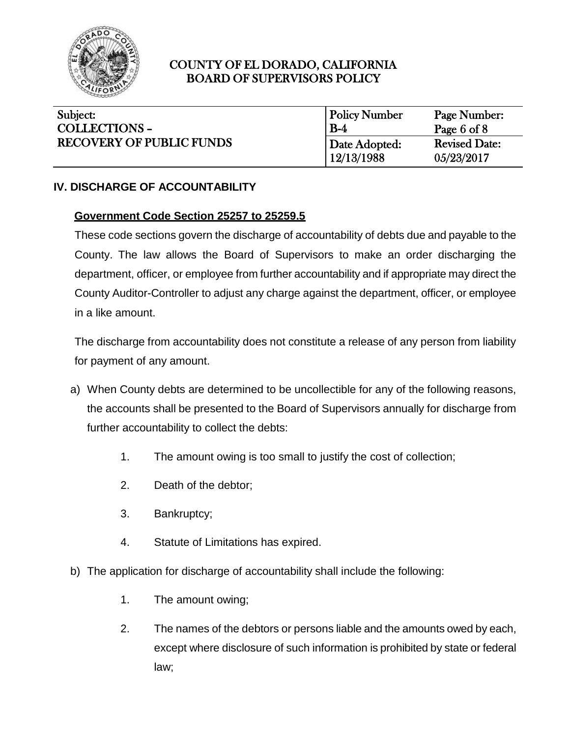

| Subject:                        | <b>Policy Number</b> | Page Number:         |
|---------------------------------|----------------------|----------------------|
| <b>COLLECTIONS -</b>            | $B-4$                | Page 6 of $8$        |
| <b>RECOVERY OF PUBLIC FUNDS</b> | Date Adopted:        | <b>Revised Date:</b> |
|                                 | 12/13/1988           | 05/23/2017           |

### **IV. DISCHARGE OF ACCOUNTABILITY**

### **Government Code Section 25257 to 25259.5**

These code sections govern the discharge of accountability of debts due and payable to the County. The law allows the Board of Supervisors to make an order discharging the department, officer, or employee from further accountability and if appropriate may direct the County Auditor-Controller to adjust any charge against the department, officer, or employee in a like amount.

The discharge from accountability does not constitute a release of any person from liability for payment of any amount.

- a) When County debts are determined to be uncollectible for any of the following reasons, the accounts shall be presented to the Board of Supervisors annually for discharge from further accountability to collect the debts:
	- 1. The amount owing is too small to justify the cost of collection;
	- 2. Death of the debtor;
	- 3. Bankruptcy;
	- 4. Statute of Limitations has expired.
- b) The application for discharge of accountability shall include the following:
	- 1. The amount owing;
	- 2. The names of the debtors or persons liable and the amounts owed by each, except where disclosure of such information is prohibited by state or federal law;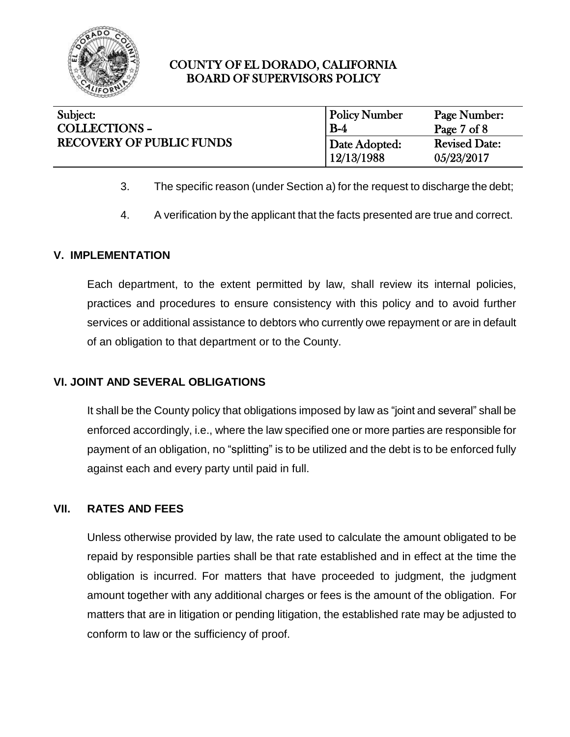

| Subject:                        | <b>Policy Number</b> | Page Number:           |
|---------------------------------|----------------------|------------------------|
| <b>COLLECTIONS -</b>            | $B-4$                | Page $7 \text{ of } 8$ |
| <b>RECOVERY OF PUBLIC FUNDS</b> | Date Adopted:        | <b>Revised Date:</b>   |
|                                 | 12/13/1988           | 05/23/2017             |

- 3. The specific reason (under Section a) for the request to discharge the debt;
- 4. A verification by the applicant that the facts presented are true and correct.

### **V. IMPLEMENTATION**

Each department, to the extent permitted by law, shall review its internal policies, practices and procedures to ensure consistency with this policy and to avoid further services or additional assistance to debtors who currently owe repayment or are in default of an obligation to that department or to the County.

### **VI. JOINT AND SEVERAL OBLIGATIONS**

It shall be the County policy that obligations imposed by law as "joint and several" shall be enforced accordingly, i.e., where the law specified one or more parties are responsible for payment of an obligation, no "splitting" is to be utilized and the debt is to be enforced fully against each and every party until paid in full.

# **VII. RATES AND FEES**

Unless otherwise provided by law, the rate used to calculate the amount obligated to be repaid by responsible parties shall be that rate established and in effect at the time the obligation is incurred. For matters that have proceeded to judgment, the judgment amount together with any additional charges or fees is the amount of the obligation. For matters that are in litigation or pending litigation, the established rate may be adjusted to conform to law or the sufficiency of proof.